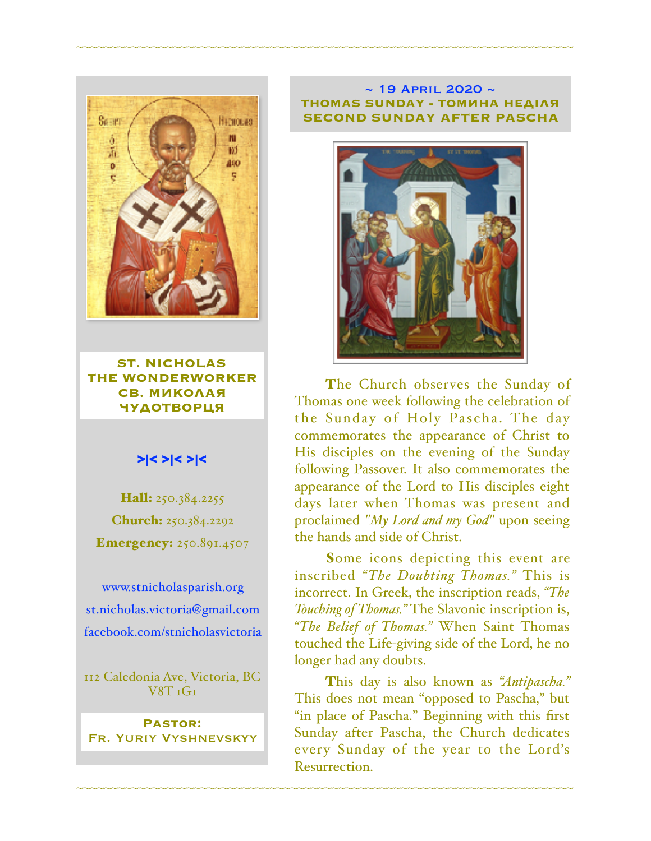

**ST. NICHOLAS THE WONDERWORKER СВ. МИКОЛАЯ ЧУДОТВОРЦЯ**

### >|< >|< >|<

Hall: 250.384.2255 Church: 250.384.2292 **Emergency:** 250.891.4507

[www.stnicholasparish.org](http://www.stnicholasparish.org) [st.nicholas.victoria@gmail.com](mailto:st.nicholas.victoria@gmail.com) [facebook.com/stnicholasvictoria](http://facebook.com/stnicholasvictoria)

112 Caledonia Ave, Victoria, BC V8T 1G1

**Pastor:**  Fr. Yuriy Vyshnevskyy

#### $\sim$  19 APRIL 2020  $\sim$ **THOMAS SUNDAY - ТОМИНА НЕДІЛЯ SECOND SUNDAY AFTER PASCHA**

~~~~~~~~~~~~~~~~~~~~~~~~~~~~~~~~~~~~~~~~~~~~~~~~~~~~~~~~~~~~~~~~~~~~~~~~



The Church observes the Sunday of Thomas one week following the celebration of the Sunday of Holy Pascha. The day commemorates the appearance of Christ to His disciples on the evening of the Sunday following Passover. It also commemorates the appearance of the Lord to His disciples eight days later when Thomas was present and proclaimed *"My Lord and my God"* upon seeing the hands and side of Christ.

Some icons depicting this event are inscribed *"The Doubting Thomas."* This is incorrect. In Greek, the inscription reads, *"The Touching of Thomas."* The Slavonic inscription is, *"The Belief of Thomas."* When Saint Thomas touched the Life-giving side of the Lord, he no longer had any doubts.

This day is also known as *"Antipascha."* This does not mean "opposed to Pascha," but "in place of Pascha." Beginning with this first Sunday after Pascha, the Church dedicates every Sunday of the year to the Lord's Resurrection.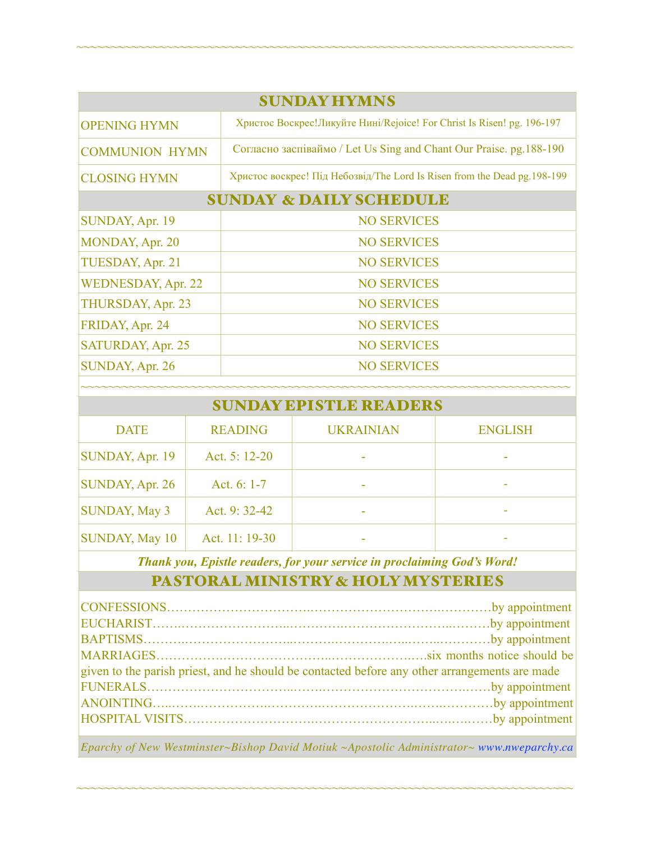| <b>SUNDAY HYMNS</b>                |                                                                           |  |  |  |
|------------------------------------|---------------------------------------------------------------------------|--|--|--|
| <b>OPENING HYMN</b>                | Христос Воскрес! Ликуйте Нині/Rejoice! For Christ Is Risen! pg. 196-197   |  |  |  |
| <b>COMMUNION HYMN</b>              | Согласно заспіваймо / Let Us Sing and Chant Our Praise. pg.188-190        |  |  |  |
| <b>CLOSING HYMN</b>                | Христос воскрес! Під Небозвід/The Lord Is Risen from the Dead pg. 198-199 |  |  |  |
| <b>SUNDAY &amp; DAILY SCHEDULE</b> |                                                                           |  |  |  |
| SUNDAY, Apr. 19                    | <b>NO SERVICES</b>                                                        |  |  |  |
| MONDAY, Apr. 20                    | <b>NO SERVICES</b>                                                        |  |  |  |
| TUESDAY, Apr. 21                   | <b>NO SERVICES</b>                                                        |  |  |  |
| <b>WEDNESDAY, Apr. 22</b>          | <b>NO SERVICES</b>                                                        |  |  |  |
| THURSDAY, Apr. 23                  | <b>NO SERVICES</b>                                                        |  |  |  |
| FRIDAY, Apr. 24                    | <b>NO SERVICES</b>                                                        |  |  |  |
| <b>SATURDAY, Apr. 25</b>           | <b>NO SERVICES</b>                                                        |  |  |  |
| SUNDAY, Apr. 26                    | <b>NO SERVICES</b>                                                        |  |  |  |
|                                    |                                                                           |  |  |  |

~~~~~~~~~~~~~~~~~~~~~~~~~~~~~~~~~~~~~~~~~~~~~~~~~~~~~~~~~~~~~~~~~~~~~~~~

| <b>SUNDAY EPISTLE READERS</b> |                |                  |                |  |
|-------------------------------|----------------|------------------|----------------|--|
| <b>DATE</b>                   | <b>READING</b> | <b>UKRAINIAN</b> | <b>ENGLISH</b> |  |
| SUNDAY, Apr. 19               | Act. 5: 12-20  |                  |                |  |
| SUNDAY, Apr. 26               | Act. $6: 1-7$  |                  |                |  |
| <b>SUNDAY, May 3</b>          | Act. 9:32-42   |                  |                |  |
| <b>SUNDAY, May 10</b>         | Act. 11: 19-30 |                  |                |  |

*Thank you, Epistle readers, for your service in proclaiming God's Word!*

# PASTORAL MINISTRY & HOLY MYSTERIES

| given to the parish priest, and he should be contacted before any other arrangements are made |  |  |
|-----------------------------------------------------------------------------------------------|--|--|
|                                                                                               |  |  |
|                                                                                               |  |  |
|                                                                                               |  |  |
|                                                                                               |  |  |

*Eparchy of New Westminster~Bishop David Motiuk ~Apostolic Administrator~ [www.nweparchy.ca](http://www.nweparchy.ca)*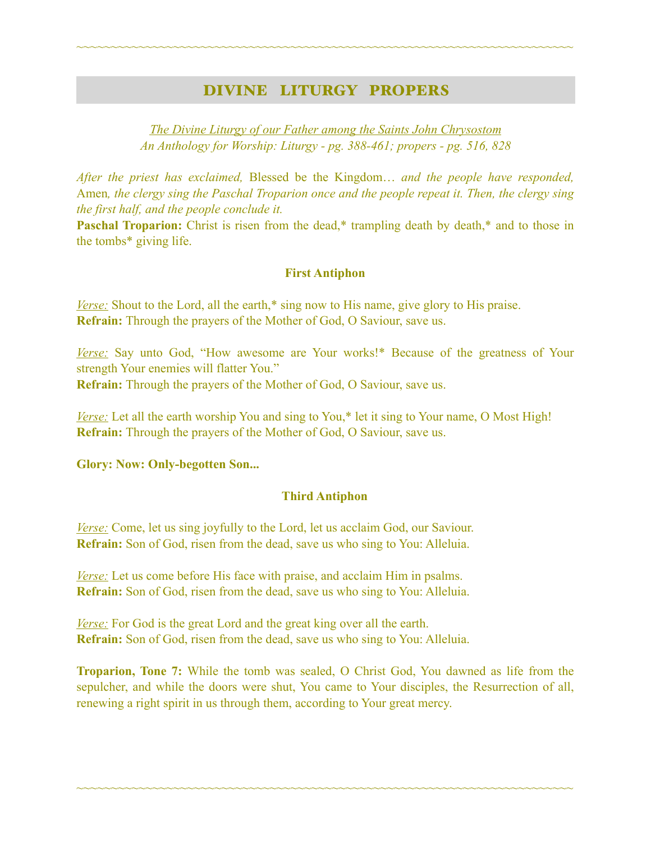# DIVINE LITURGY PROPERS

~~~~~~~~~~~~~~~~~~~~~~~~~~~~~~~~~~~~~~~~~~~~~~~~~~~~~~~~~~~~~~~~~~~~~~~~

*The Divine Liturgy of our Father among the Saints John Chrysostom An Anthology for Worship: Liturgy - pg. 388-461; propers - pg. 516, 828* 

*After the priest has exclaimed,* Blessed be the Kingdom… *and the people have responded,*  Amen*, the clergy sing the Paschal Troparion once and the people repeat it. Then, the clergy sing the first half, and the people conclude it.*

**Paschal Troparion:** Christ is risen from the dead,\* trampling death by death,\* and to those in the tombs\* giving life.

#### **First Antiphon**

*Verse:* Shout to the Lord, all the earth,<sup>\*</sup> sing now to His name, give glory to His praise. **Refrain:** Through the prayers of the Mother of God, O Saviour, save us.

*Verse:* Say unto God, "How awesome are Your works!\* Because of the greatness of Your strength Your enemies will flatter You." **Refrain:** Through the prayers of the Mother of God, O Saviour, save us.

*Verse:* Let all the earth worship You and sing to You,<sup>\*</sup> let it sing to Your name, O Most High! **Refrain:** Through the prayers of the Mother of God, O Saviour, save us.

**Glory: Now: Only-begotten Son...** 

#### **Third Antiphon**

*Verse:* Come, let us sing joyfully to the Lord, let us acclaim God, our Saviour. **Refrain:** Son of God, risen from the dead, save us who sing to You: Alleluia.

*Verse:* Let us come before His face with praise, and acclaim Him in psalms. **Refrain:** Son of God, risen from the dead, save us who sing to You: Alleluia.

*Verse:* For God is the great Lord and the great king over all the earth. **Refrain:** Son of God, risen from the dead, save us who sing to You: Alleluia.

**Troparion, Tone 7:** While the tomb was sealed, O Christ God, You dawned as life from the sepulcher, and while the doors were shut, You came to Your disciples, the Resurrection of all, renewing a right spirit in us through them, according to Your great mercy.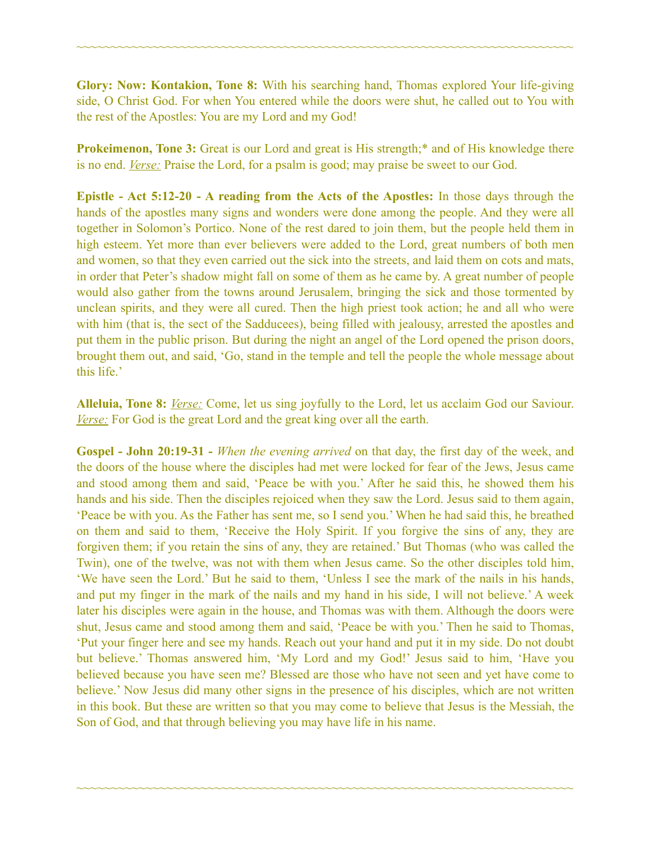**Glory: Now: Kontakion, Tone 8:** With his searching hand, Thomas explored Your life-giving side, O Christ God. For when You entered while the doors were shut, he called out to You with the rest of the Apostles: You are my Lord and my God!

~~~~~~~~~~~~~~~~~~~~~~~~~~~~~~~~~~~~~~~~~~~~~~~~~~~~~~~~~~~~~~~~~~~~~~~~

**Prokeimenon, Tone 3:** Great is our Lord and great is His strength;<sup>\*</sup> and of His knowledge there is no end. *Verse:* Praise the Lord, for a psalm is good; may praise be sweet to our God.

**Epistle - Act 5:12-20 - A reading from the Acts of the Apostles:** In those days through the hands of the apostles many signs and wonders were done among the people. And they were all together in Solomon's Portico. None of the rest dared to join them, but the people held them in high esteem. Yet more than ever believers were added to the Lord, great numbers of both men and women, so that they even carried out the sick into the streets, and laid them on cots and mats, in order that Peter's shadow might fall on some of them as he came by. A great number of people would also gather from the towns around Jerusalem, bringing the sick and those tormented by unclean spirits, and they were all cured. Then the high priest took action; he and all who were with him (that is, the sect of the Sadducees), being filled with jealousy, arrested the apostles and put them in the public prison. But during the night an angel of the Lord opened the prison doors, brought them out, and said, 'Go, stand in the temple and tell the people the whole message about this life.'

**Alleluia, Tone 8:** *Verse:* Come, let us sing joyfully to the Lord, let us acclaim God our Saviour. *Verse:* For God is the great Lord and the great king over all the earth.

**Gospel - John 20:19-31 -** *When the evening arrived* on that day, the first day of the week, and the doors of the house where the disciples had met were locked for fear of the Jews, Jesus came and stood among them and said, 'Peace be with you.' After he said this, he showed them his hands and his side. Then the disciples rejoiced when they saw the Lord. Jesus said to them again, 'Peace be with you. As the Father has sent me, so I send you.' When he had said this, he breathed on them and said to them, 'Receive the Holy Spirit. If you forgive the sins of any, they are forgiven them; if you retain the sins of any, they are retained.' But Thomas (who was called the Twin), one of the twelve, was not with them when Jesus came. So the other disciples told him, 'We have seen the Lord.' But he said to them, 'Unless I see the mark of the nails in his hands, and put my finger in the mark of the nails and my hand in his side, I will not believe.' A week later his disciples were again in the house, and Thomas was with them. Although the doors were shut, Jesus came and stood among them and said, 'Peace be with you.' Then he said to Thomas, 'Put your finger here and see my hands. Reach out your hand and put it in my side. Do not doubt but believe.' Thomas answered him, 'My Lord and my God!' Jesus said to him, 'Have you believed because you have seen me? Blessed are those who have not seen and yet have come to believe.' Now Jesus did many other signs in the presence of his disciples, which are not written in this book. But these are written so that you may come to believe that Jesus is the Messiah, the Son of God, and that through believing you may have life in his name.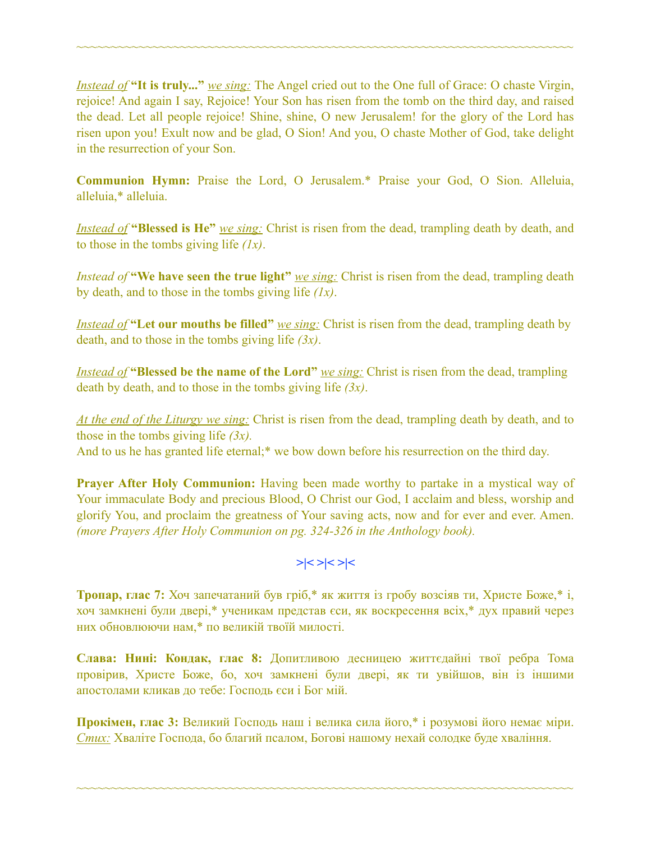*Instead of* **"It is truly..."** *we sing:* The Angel cried out to the One full of Grace: O chaste Virgin, rejoice! And again I say, Rejoice! Your Son has risen from the tomb on the third day, and raised the dead. Let all people rejoice! Shine, shine, O new Jerusalem! for the glory of the Lord has risen upon you! Exult now and be glad, O Sion! And you, O chaste Mother of God, take delight in the resurrection of your Son.

~~~~~~~~~~~~~~~~~~~~~~~~~~~~~~~~~~~~~~~~~~~~~~~~~~~~~~~~~~~~~~~~~~~~~~~~

**Сommunion Hymn:** Praise the Lord, O Jerusalem.\* Praise your God, O Sion. Alleluia, alleluia,\* alleluia.

*Instead of* **"Blessed is He"** *we sing:* Christ is risen from the dead, trampling death by death, and to those in the tombs giving life *(1x)*.

*Instead of* "We have seen the true light" *we sing:* Christ is risen from the dead, trampling death by death, and to those in the tombs giving life *(1x)*.

*Instead of* "Let our mouths be filled" *we sing:* Christ is risen from the dead, trampling death by death, and to those in the tombs giving life *(3x)*.

*Instead of* **"Blessed be the name of the Lord"** *we sing:* Christ is risen from the dead, trampling death by death, and to those in the tombs giving life *(3x)*.

*At the end of the Liturgy we sing:* Christ is risen from the dead, trampling death by death, and to those in the tombs giving life *(3x).*

And to us he has granted life eternal;<sup>\*</sup> we bow down before his resurrection on the third day.

**Prayer After Holy Communion:** Having been made worthy to partake in a mystical way of Your immaculate Body and precious Blood, O Christ our God, I acclaim and bless, worship and glorify You, and proclaim the greatness of Your saving acts, now and for ever and ever. Amen. *(more Prayers After Holy Communion on pg. 324-326 in the Anthology book).* 

**>|< >|< >|<** 

**Тропар, глас 7:** Хоч запечатаний був гріб,\* як життя із гробу возсіяв ти, Христе Боже,\* і, хоч замкнені були двері,\* ученикам представ єси, як воскресення всіх,\* дух правий через них обновлюючи нам,\* по великій твоїй милості.

**Слава: Нині: Кондак, глас 8:** Допитливою десницею життєдайні твої ребра Тома провірив, Христе Боже, бо, хоч замкнені були двері, як ти увійшов, він із іншими апостолами кликав до тебе: Господь єси і Бог мій.

**Прокімен, глас 3:** Великий Господь наш і велика сила його,\* і розумові його немає міри. *Стих:* Хваліте Господа, бо благий псалом, Богові нашому нехай солодке буде хваління.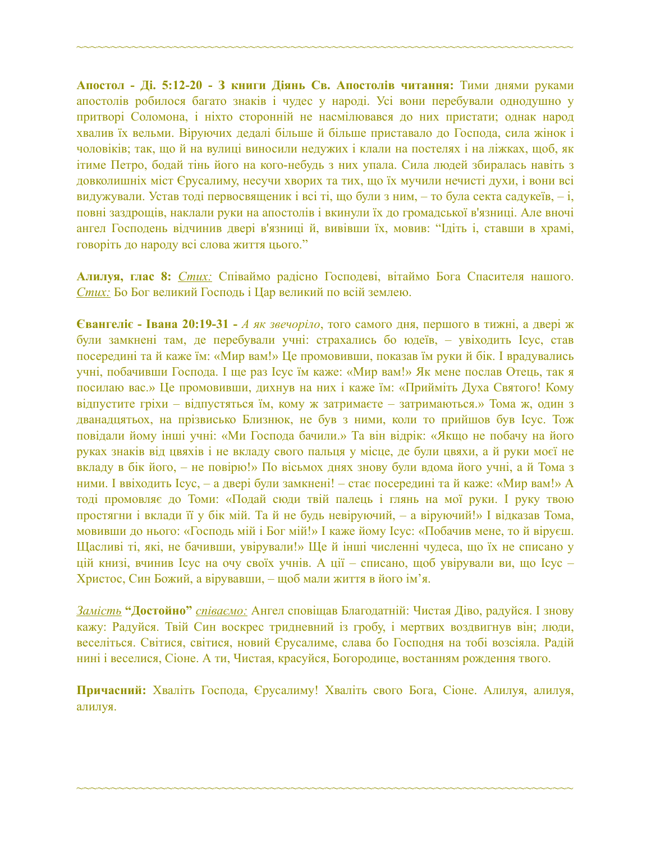**Апостол - Ді. 5:12-20 - З книги Діянь Св. Апостолів читання:** Тими днями руками апостолів робилося багато знаків і чудес у народі. Усі вони перебували однодушно у притворі Соломона, і ніхто сторонній не насмілювався до них пристати; однак народ хвалив їх вельми. Віруючих дедалі більше й більше приставало до Господа, сила жінок і чоловіків; так, що й на вулиці виносили недужих і клали на постелях і на ліжках, щоб, як ітиме Петро, бодай тінь його на кого-небудь з них упала. Сила людей збиралась навіть з довколишніх міст Єрусалиму, несучи хворих та тих, що їх мучили нечисті духи, і вони всі видужували. Устав тоді первосвященик і всі ті, що були з ним, – то була секта садукеїв, – і, повні заздрощів, наклали руки на апостолів і вкинули їх до громадської в'язниці. Але вночі ангел Господень відчинив двері в'язниці й, вивівши їх, мовив: "Ідіть і, ставши в храмі, говоріть до народу всі слова життя цього."

~~~~~~~~~~~~~~~~~~~~~~~~~~~~~~~~~~~~~~~~~~~~~~~~~~~~~~~~~~~~~~~~~~~~~~~~

**Алилуя, глас 8:** *Стих:* Cпіваймо радісно Господеві, вітаймо Бога Спасителя нашого. *Стих:* Бо Бог великий Господь і Цар великий по всій землею.

**Євангеліє - Івана 20:19-31 -** *А як звечоріло*, того самого дня, першого в тижні, а двері ж були замкнені там, де перебували учні: страхались бо юдеїв, – увіходить Ісус, став посередині та й каже їм: «Мир вам!» Це промовивши, показав їм руки й бік. І врадувались учні, побачивши Господа. І ще раз Ісус їм каже: «Мир вам!» Як мене послав Отець, так я посилаю вас.» Це промовивши, дихнув на них і каже їм: «Прийміть Духа Святого! Кому відпустите гріхи – відпустяться їм, кому ж затримаєте – затримаються.» Тома ж, один з дванадцятьох, на прізвисько Близнюк, не був з ними, коли то прийшов був Ісус. Тож повідали йому інші учні: «Ми Господа бачили.» Та він відрік: «Якщо не побачу на його руках знаків від цвяхів і не вкладу свого пальця у місце, де були цвяхи, а й руки моєї не вкладу в бік його, – не повірю!» По вісьмох днях знову були вдома його учні, а й Тома з ними. І ввіходить Ісус, – а двері були замкнені! – стає посередині та й каже: «Мир вам!» А тоді промовляє до Томи: «Подай сюди твій палець і глянь на мої руки. І руку твою простягни і вклади її у бік мій. Та й не будь невіруючий, – а віруючий!» І відказав Тома, мовивши до нього: «Господь мій і Бог мій!» І каже йому Ісус: «Побачив мене, то й віруєш. Щасливі ті, які, не бачивши, увірували!» Ще й інші численні чудеса, що їх не списано у цій книзі, вчинив Ісус на очу своїх учнів. А ції – списано, щоб увірували ви, що Ісус – Христос, Син Божий, а вірувавши, – щоб мали життя в його ім'я.

*Замість* **"Достойно"** *співаємо:* Ангел сповіщав Благодатній: Чистая Діво, радуйся. І знову кажу: Радуйся. Твій Син воскрес тридневний із гробу, і мертвих воздвигнув він; люди, веселіться. Світися, світися, новий Єрусалиме, слава бо Господня на тобі возсіяла. Радій нині і веселися, Сіоне. А ти, Чистая, красуйся, Богородице, востанням рождення твого.

**Причасний:** Хваліть Господа, Єрусалиму! Хваліть свого Бога, Сіоне. Алилуя, aлилуя, aлилуя.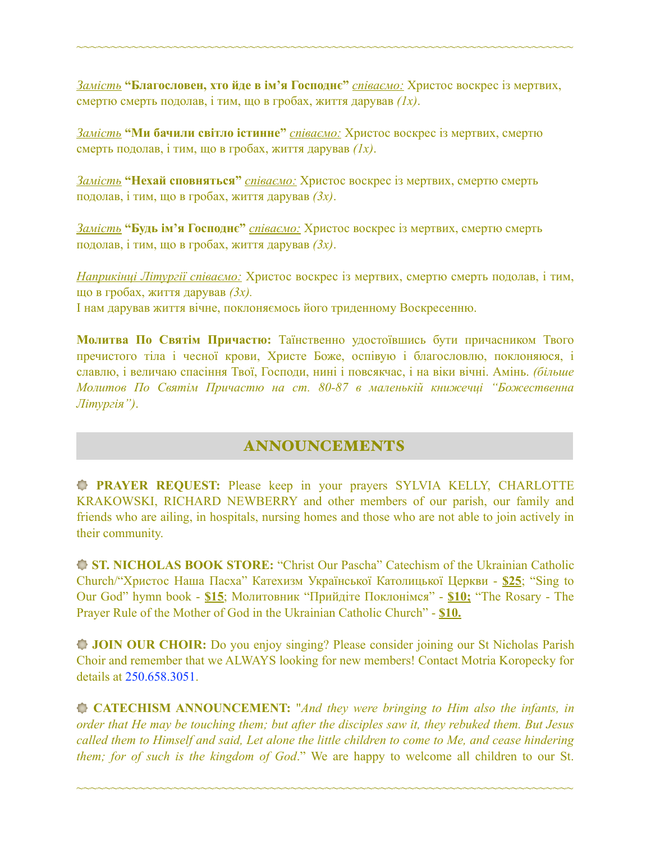*Замість* **"Благословен, хто йде в ім'я Господнє"** *співаємо:* Христос воскрес із мертвих, смертю смерть подолав, і тим, що в гробах, життя дарував *(1x)*.

~~~~~~~~~~~~~~~~~~~~~~~~~~~~~~~~~~~~~~~~~~~~~~~~~~~~~~~~~~~~~~~~~~~~~~~~

*Замість* **"Ми бачили світло істинне"** *співаємо:* Христос воскрес із мертвих, смертю смерть подолав, і тим, що в гробах, життя дарував *(1x)*.

*Замість* **"Нехай сповняться"** *співаємо:* Христос воскрес із мертвих, смертю смерть подолав, і тим, що в гробах, життя дарував *(3x)*.

*Замість* **"Будь ім'я Господнє"** *співаємо:* Христос воскрес із мертвих, смертю смерть подолав, і тим, що в гробах, життя дарував *(3x)*.

*Наприкінці Літургії співаємо:* Христос воскрес із мертвих, смертю смерть подолав, і тим, що в гробах, життя дарував *(3x).*

І нам дарував життя вічне, поклоняємось його триденному Воскресенню.

**Молитва По Святім Причастю:** Таїнственно удостоївшись бути причасником Твого пречистого тіла і чесної крови, Христе Боже, оспівую і благословлю, поклоняюся, і славлю, і величаю спасіння Твої, Господи, нині і повсякчас, і на віки вічні. Амінь. *(більше Молитов По Святім Причастю на ст. 80-87 в маленькій книжечці "Божественна Літургія")*.

## ANNOUNCEMENTS

**PRAYER REQUEST:** Please keep in your prayers SYLVIA KELLY, CHARLOTTE KRAKOWSKI, RICHARD NEWBERRY and other members of our parish, our family and friends who are ailing, in hospitals, nursing homes and those who are not able to join actively in their community.

**ST. NICHOLAS BOOK STORE:** "Christ Our Pascha" Catechism of the Ukrainian Catholic Church/"Христос Наша Пасха" Катехизм Української Католицької Церкви - **\$25**; "Sing to Our God" hymn book - **\$15**; Молитовник "Прийдіте Поклонімся" - **\$10;** "The Rosary - The Prayer Rule of the Mother of God in the Ukrainian Catholic Church" - **\$10.** 

**JOIN OUR CHOIR:** Do you enjoy singing? Please consider joining our St Nicholas Parish Choir and remember that we ALWAYS looking for new members! Contact Motria Koropecky for details at 250.658.3051.

**CATECHISM ANNOUNCEMENT:** "*And they were bringing to Him also the infants, in order that He may be touching them; but after the disciples saw it, they rebuked them. But Jesus called them to Himself and said, Let alone the little children to come to Me, and cease hindering them; for of such is the kingdom of God*." We are happy to welcome all children to our St.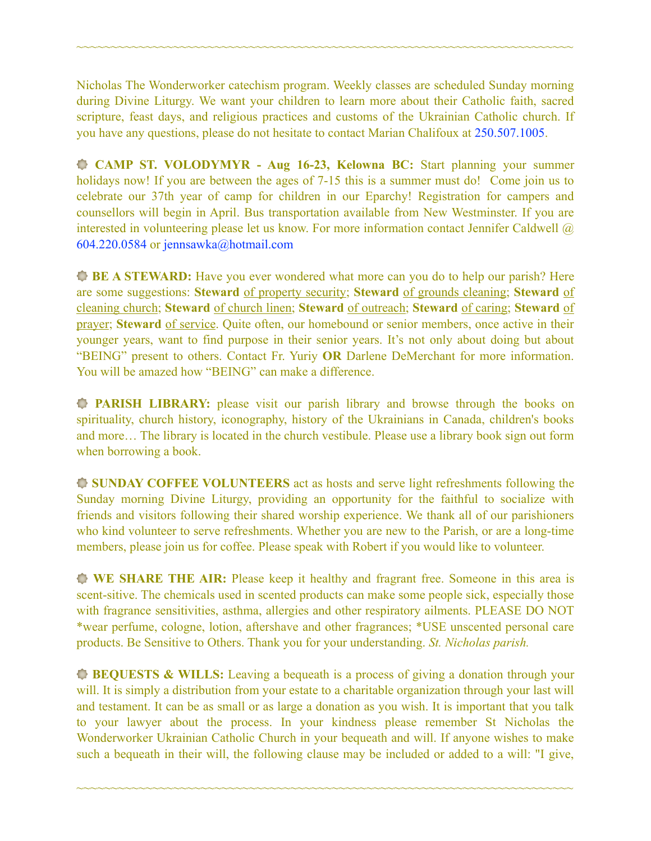Nicholas The Wonderworker catechism program. Weekly classes are scheduled Sunday morning during Divine Liturgy. We want your children to learn more about their Catholic faith, sacred scripture, feast days, and religious practices and customs of the Ukrainian Catholic church. If you have any questions, please do not hesitate to contact Marian Chalifoux at 250.507.1005.

~~~~~~~~~~~~~~~~~~~~~~~~~~~~~~~~~~~~~~~~~~~~~~~~~~~~~~~~~~~~~~~~~~~~~~~~

 **CAMP ST. VOLODYMYR - Aug 16-23, Kelowna BC:** Start planning your summer holidays now! If you are between the ages of 7-15 this is a summer must do! Come join us to celebrate our 37th year of camp for children in our Eparchy! Registration for campers and counsellors will begin in April. Bus transportation available from New Westminster. If you are interested in volunteering please let us know. For more information contact Jennifer Caldwell @ 604.220.0584 or [jennsawka@hotmail.com](mailto:jennsawka@hotmail.com)

**BE A STEWARD:** Have you ever wondered what more can you do to help our parish? Here are some suggestions: **Steward** of property security; **Steward** of grounds cleaning; **Steward** of cleaning church; **Steward** of church linen; **Steward** of outreach; **Steward** of caring; **Steward** of prayer; **Steward** of service. Quite often, our homebound or senior members, once active in their younger years, want to find purpose in their senior years. It's not only about doing but about "BEING" present to others. Contact Fr. Yuriy **OR** Darlene DeMerchant for more information. You will be amazed how "BEING" can make a difference.

**PARISH LIBRARY:** please visit our parish library and browse through the books on spirituality, church history, iconography, history of the Ukrainians in Canada, children's books and more… The library is located in the church vestibule. Please use a library book sign out form when borrowing a book.

**SUNDAY COFFEE VOLUNTEERS** act as hosts and serve light refreshments following the Sunday morning Divine Liturgy, providing an opportunity for the faithful to socialize with friends and visitors following their shared worship experience. We thank all of our parishioners who kind volunteer to serve refreshments. Whether you are new to the Parish, or are a long-time members, please join us for coffee. Please speak with Robert if you would like to volunteer.

**WE SHARE THE AIR:** Please keep it healthy and fragrant free. Someone in this area is scent-sitive. The chemicals used in scented products can make some people sick, especially those with fragrance sensitivities, asthma, allergies and other respiratory ailments. PLEASE DO NOT \*wear perfume, cologne, lotion, aftershave and other fragrances; \*USE unscented personal care products. Be Sensitive to Others. Thank you for your understanding. *St. Nicholas parish.* 

**BEQUESTS & WILLS:** Leaving a bequeath is a process of giving a donation through your will. It is simply a distribution from your estate to a charitable organization through your last will and testament. It can be as small or as large a donation as you wish. It is important that you talk to your lawyer about the process. In your kindness please remember St Nicholas the Wonderworker Ukrainian Catholic Church in your bequeath and will. If anyone wishes to make such a bequeath in their will, the following clause may be included or added to a will: "I give,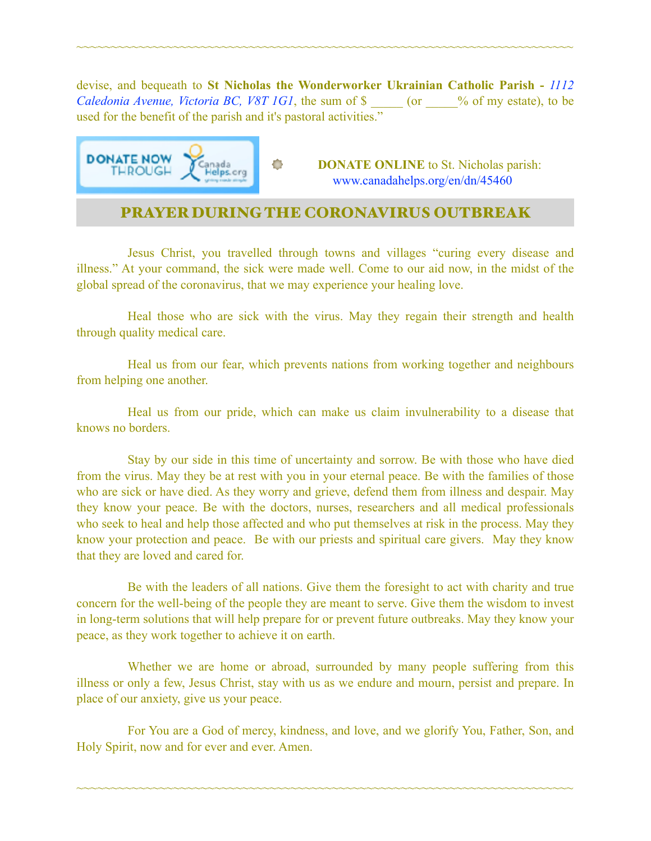devise, and bequeath to **St Nicholas the Wonderworker Ukrainian Catholic Parish -** *1112 Caledonia Avenue, Victoria BC, V8T 1G1*, the sum of \$  $\qquad \qquad$  (or  $\qquad \qquad$  % of my estate), to be used for the benefit of the parish and it's pastoral activities."

~~~~~~~~~~~~~~~~~~~~~~~~~~~~~~~~~~~~~~~~~~~~~~~~~~~~~~~~~~~~~~~~~~~~~~~~



**DONATE ONLINE** to St. Nicholas parish: [www.canadahelps.org/en/dn/45460](http://www.canadahelps.org/en/dn/45460) 

# PRAYER DURING THE CORONAVIRUS OUTBREAK

Jesus Christ, you travelled through towns and villages "curing every disease and illness." At your command, the sick were made well. Come to our aid now, in the midst of the global spread of the coronavirus, that we may experience your healing love.

Heal those who are sick with the virus. May they regain their strength and health through quality medical care.

Heal us from our fear, which prevents nations from working together and neighbours from helping one another.

Heal us from our pride, which can make us claim invulnerability to a disease that knows no borders.

Stay by our side in this time of uncertainty and sorrow. Be with those who have died from the virus. May they be at rest with you in your eternal peace. Be with the families of those who are sick or have died. As they worry and grieve, defend them from illness and despair. May they know your peace. Be with the doctors, nurses, researchers and all medical professionals who seek to heal and help those affected and who put themselves at risk in the process. May they know your protection and peace. Be with our priests and spiritual care givers. May they know that they are loved and cared for.

Be with the leaders of all nations. Give them the foresight to act with charity and true concern for the well-being of the people they are meant to serve. Give them the wisdom to invest in long-term solutions that will help prepare for or prevent future outbreaks. May they know your peace, as they work together to achieve it on earth.

Whether we are home or abroad, surrounded by many people suffering from this illness or only a few, Jesus Christ, stay with us as we endure and mourn, persist and prepare. In place of our anxiety, give us your peace.

For You are a God of mercy, kindness, and love, and we glorify You, Father, Son, and Holy Spirit, now and for ever and ever. Amen.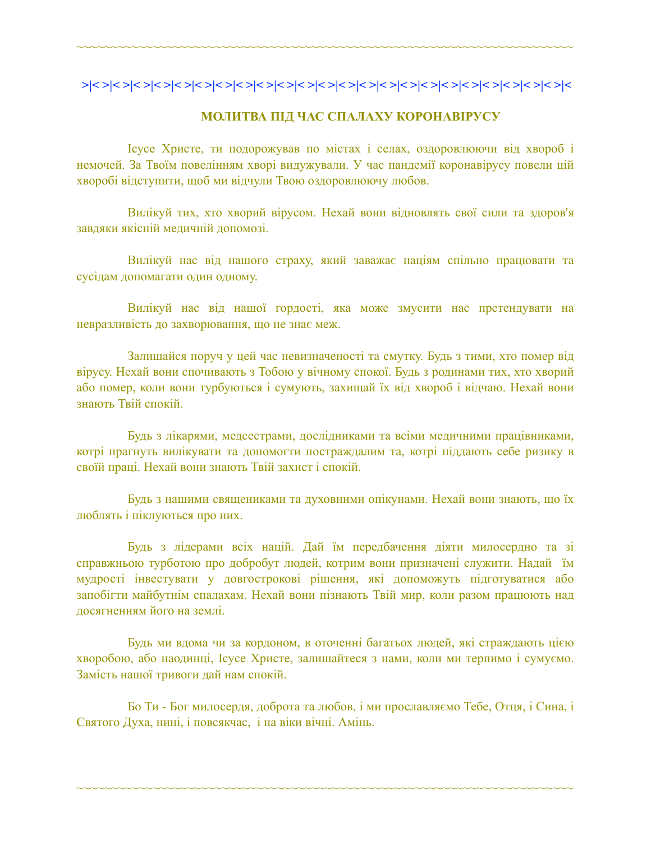**>|< >|< >|< >|< >|< >|< >|< >|< >|< >|< >|< >|< >|< >|< >|< >|< >|< >|< >|< >|< >|< >|< >|< >|<** 

~~~~~~~~~~~~~~~~~~~~~~~~~~~~~~~~~~~~~~~~~~~~~~~~~~~~~~~~~~~~~~~~~~~~~~~~

### **МОЛИТВА ПІД ЧАС СПАЛАХУ КОРОНАВІРУСУ**

Ісусе Христе, ти подорожував по містах і селах, оздоровлюючи від хвороб і немочей. За Твоїм повелінням хворі видужували. У час пандемії коронавірусу повели цій хворобі відступити, щоб ми відчули Твою оздоровлюючу любов.

Вилікуй тих, хто хворий вірусом. Нехай вони відновлять свої сили та здоров'я завдяки якісній медичній допомозі.

Вилікуй нас від нашого страху, який заважає націям спільно працювати та сусідам допомагати один одному.

Вилікуй нас від нашої гордості, яка може змусити нас претендувати на невразливість до захворювання, що не знає меж.

Залишайся поруч у цей час невизначеності та смутку. Будь з тими, хто помер від вірусу. Нехай вони спочивають з Тобою у вічному спокої. Будь з родинами тих, хто хворий або помер, коли вони турбуються і сумують, захищай їх від хвороб і відчаю. Нехай вони знають Твій спокій.

Будь з лікарями, медсестрами, дослідниками та всіми медичними працівниками, котрі прагнуть вилікувати та допомогти постраждалим та, котрі піддають себе ризику в своїй праці. Нехай вони знають Твій захист і спокій.

Будь з нашими священиками та духовними опікунами. Нехай вони знають, що їх люблять і піклуються про них.

Будь з лідерами всіх націй. Дай їм передбачення діяти милосердно та зі справжньою турботою про добробут людей, котрим вони призначені служити. Надай їм мудрості інвестувати у довгострокові рішення, які допоможуть підготуватися або запобігти майбутнім спалахам. Нехай вони пізнають Твій мир, коли разом працюють над досягненням його на землі.

Будь ми вдома чи за кордоном, в оточенні багатьох людей, які страждають цією хворобою, або наодинці, Ісусе Христе, залишайтеся з нами, коли ми терпимо і сумуємо. Замість нашої тривоги дай нам спокій.

Бо Ти - Бог милосердя, доброта та любов, і ми прославляємо Тебе, Отця, і Сина, і Святого Духа, нині, і повсякчас, і на віки вічні. Амінь.